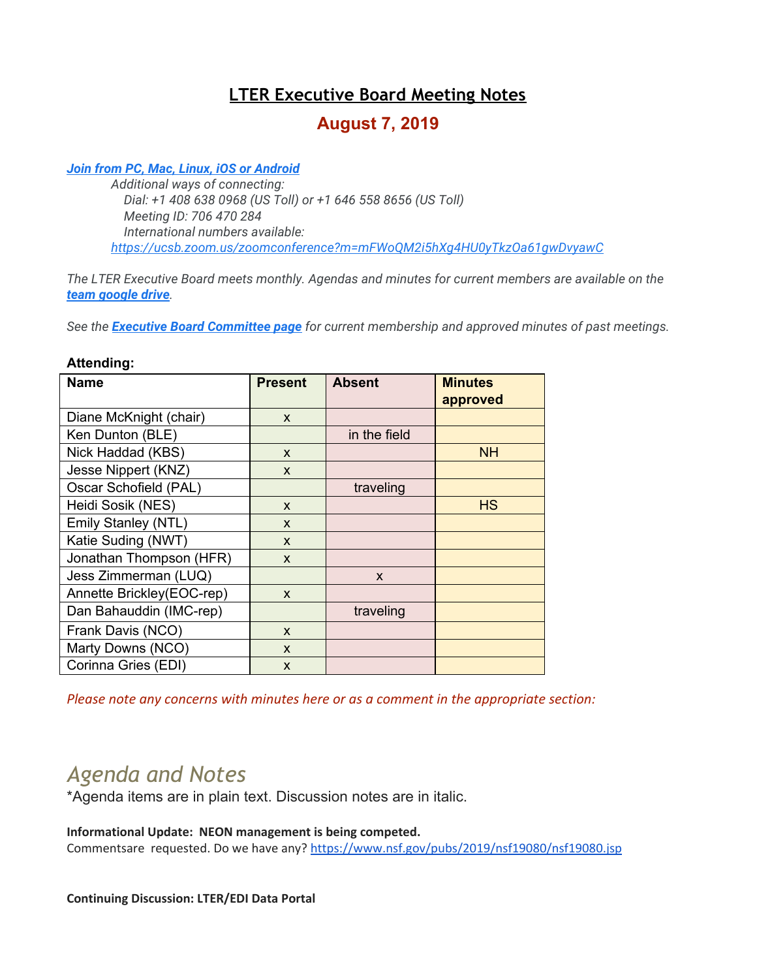# **LTER Executive Board Meeting Notes**

# **August 7, 2019**

## *[Join from PC, Mac, Linux, iOS or Android](https://ucsb.zoom.us/j/706470284)*

*Additional ways of connecting: Dial: +1 408 638 0968 (US Toll) or +1 646 558 8656 (US Toll) Meeting ID: 706 470 284 International numbers available: <https://ucsb.zoom.us/zoomconference?m=mFWoQM2i5hXg4HU0yTkzOa61gwDvyawC>*

*The LTER Executive Board meets monthly. Agendas and minutes for current members are available on the [team google drive](https://drive.google.com/drive/folders/0AKaWwJjxt2VMUk9PVA).*

*See the [Executive Board Committee page](https://lternet.edu/committees/executive-board/) for current membership and approved minutes of past meetings.*

## **Attending:**

| <b>Name</b>               | <b>Present</b> | <b>Absent</b>             | <b>Minutes</b> |
|---------------------------|----------------|---------------------------|----------------|
|                           |                |                           | approved       |
| Diane McKnight (chair)    | $\mathsf{x}$   |                           |                |
| Ken Dunton (BLE)          |                | in the field              |                |
| Nick Haddad (KBS)         | $\mathsf{x}$   |                           | <b>NH</b>      |
| Jesse Nippert (KNZ)       | $\mathsf{x}$   |                           |                |
| Oscar Schofield (PAL)     |                | traveling                 |                |
| Heidi Sosik (NES)         | $\mathsf{x}$   |                           | <b>HS</b>      |
| Emily Stanley (NTL)       | $\mathbf{x}$   |                           |                |
| Katie Suding (NWT)        | X              |                           |                |
| Jonathan Thompson (HFR)   | X              |                           |                |
| Jess Zimmerman (LUQ)      |                | $\boldsymbol{\mathsf{X}}$ |                |
| Annette Brickley(EOC-rep) | $\mathsf{x}$   |                           |                |
| Dan Bahauddin (IMC-rep)   |                | traveling                 |                |
| Frank Davis (NCO)         | $\mathsf{x}$   |                           |                |
| Marty Downs (NCO)         | X              |                           |                |
| Corinna Gries (EDI)       | X              |                           |                |

*Please note any concerns with minutes here or as a comment in the appropriate section:*

# *Agenda and Notes*

\*Agenda items are in plain text. Discussion notes are in italic.

## **Informational Update: NEON management is being competed.**

Commentsare requested. Do we have any? <https://www.nsf.gov/pubs/2019/nsf19080/nsf19080.jsp>

#### **Continuing Discussion: LTER/EDI Data Portal**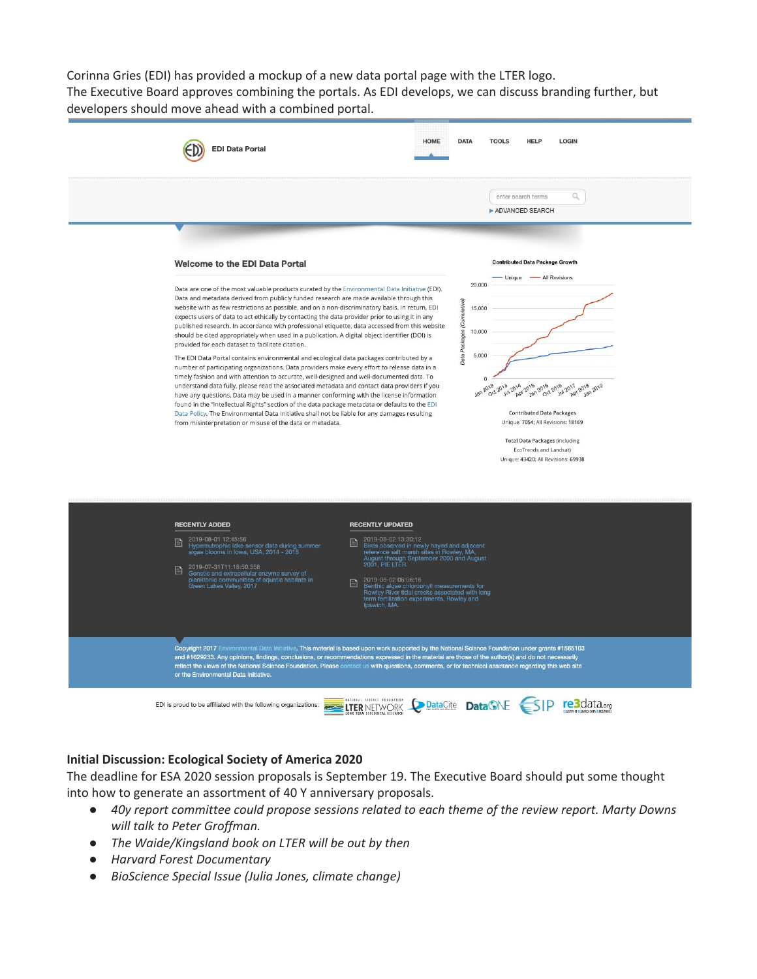Corinna Gries (EDI) has provided a mockup of a new data portal page with the LTER logo. The Executive Board approves combining the portals. As EDI develops, we can discuss branding further, but developers should move ahead with a combined portal.



## **Initial Discussion: Ecological Society of America 2020**

The deadline for ESA 2020 session proposals is September 19. The Executive Board should put some thought into how to generate an assortment of 40 Y anniversary proposals.

- *● 40y report committee could propose sessions related to each theme of the review report. Marty Downs will talk to Peter Groffman.*
- *● The Waide/Kingsland book on LTER will be out by then*
- *● Harvard Forest Documentary*
- *● BioScience Special Issue (Julia Jones, climate change)*